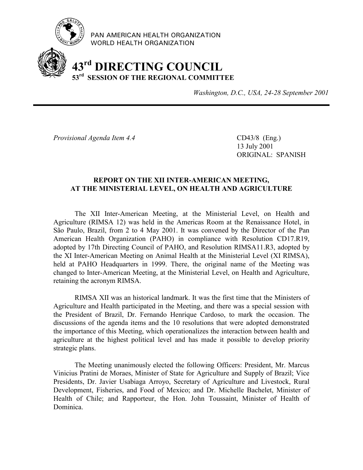

PAN AMERICAN HEALTH ORGANIZATION WORLD HEALTH ORGANIZATION

# **43rd DIRECTING COUNCIL 53rd SESSION OF THE REGIONAL COMMITTEE**

*Washington, D.C., USA, 24-28 September 2001*

*Provisional Agenda Item 4.4* CD43/8 (Eng.)

13 July 2001 ORIGINAL: SPANISH

# **REPORT ON THE XII INTER-AMERICAN MEETING, AT THE MINISTERIAL LEVEL, ON HEALTH AND AGRICULTURE**

The XII Inter-American Meeting, at the Ministerial Level, on Health and Agriculture (RIMSA 12) was held in the Americas Room at the Renaissance Hotel, in São Paulo, Brazil, from 2 to 4 May 2001. It was convened by the Director of the Pan American Health Organization (PAHO) in compliance with Resolution CD17.R19, adopted by 17th Directing Council of PAHO, and Resolution RIMSA11.R3, adopted by the XI Inter-American Meeting on Animal Health at the Ministerial Level (XI RIMSA), held at PAHO Headquarters in 1999. There, the original name of the Meeting was changed to Inter-American Meeting, at the Ministerial Level, on Health and Agriculture, retaining the acronym RIMSA.

RIMSA XII was an historical landmark. It was the first time that the Ministers of Agriculture and Health participated in the Meeting, and there was a special session with the President of Brazil, Dr. Fernando Henrique Cardoso, to mark the occasion. The discussions of the agenda items and the 10 resolutions that were adopted demonstrated the importance of this Meeting, which operationalizes the interaction between health and agriculture at the highest political level and has made it possible to develop priority strategic plans.

The Meeting unanimously elected the following Officers: President, Mr. Marcus Vinicius Pratini de Moraes, Minister of State for Agriculture and Supply of Brazil; Vice Presidents, Dr. Javier Usabiaga Arroyo, Secretary of Agriculture and Livestock, Rural Development, Fisheries, and Food of Mexico; and Dr. Michelle Bachelet, Minister of Health of Chile; and Rapporteur, the Hon. John Toussaint, Minister of Health of Dominica.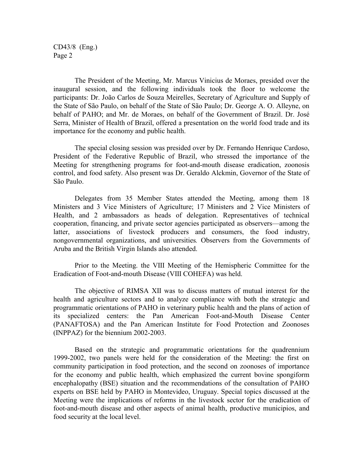CD43/8 (Eng.) Page 2

The President of the Meeting, Mr. Marcus Vinicius de Moraes, presided over the inaugural session, and the following individuals took the floor to welcome the participants: Dr. João Carlos de Souza Meirelles, Secretary of Agriculture and Supply of the State of São Paulo, on behalf of the State of São Paulo; Dr. George A. O. Alleyne, on behalf of PAHO; and Mr. de Moraes, on behalf of the Government of Brazil. Dr. José Serra, Minister of Health of Brazil, offered a presentation on the world food trade and its importance for the economy and public health.

The special closing session was presided over by Dr. Fernando Henrique Cardoso, President of the Federative Republic of Brazil, who stressed the importance of the Meeting for strengthening programs for foot-and-mouth disease eradication, zoonosis control, and food safety. Also present was Dr. Geraldo Alckmin, Governor of the State of São Paulo.

Delegates from 35 Member States attended the Meeting, among them 18 Ministers and 3 Vice Ministers of Agriculture; 17 Ministers and 2 Vice Ministers of Health, and 2 ambassadors as heads of delegation. Representatives of technical cooperation, financing, and private sector agencies participated as observers—among the latter, associations of livestock producers and consumers, the food industry, nongovernmental organizations, and universities*.* Observers from the Governments of Aruba and the British Virgin Islands also attended.

Prior to the Meeting. the VIII Meeting of the Hemispheric Committee for the Eradication of Foot-and-mouth Disease (VIII COHEFA) was held.

The objective of RIMSA XII was to discuss matters of mutual interest for the health and agriculture sectors and to analyze compliance with both the strategic and programmatic orientations of PAHO in veterinary public health and the plans of action of its specialized centers: the Pan American Foot-and-Mouth Disease Center (PANAFTOSA) and the Pan American Institute for Food Protection and Zoonoses (INPPAZ) for the biennium 2002-2003.

Based on the strategic and programmatic orientations for the quadrennium 1999-2002, two panels were held for the consideration of the Meeting: the first on community participation in food protection, and the second on zoonoses of importance for the economy and public health, which emphasized the current bovine spongiform encephalopathy (BSE) situation and the recommendations of the consultation of PAHO experts on BSE held by PAHO in Montevideo, Uruguay. Special topics discussed at the Meeting were the implications of reforms in the livestock sector for the eradication of foot-and-mouth disease and other aspects of animal health, productive municipios, and food security at the local level.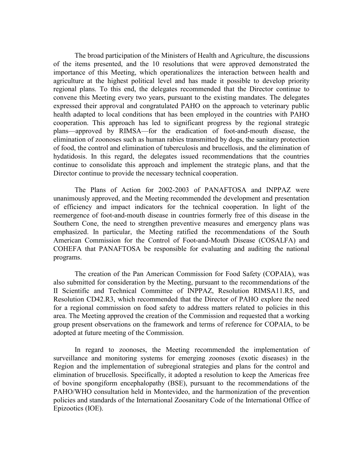The broad participation of the Ministers of Health and Agriculture, the discussions of the items presented, and the 10 resolutions that were approved demonstrated the importance of this Meeting, which operationalizes the interaction between health and agriculture at the highest political level and has made it possible to develop priority regional plans. To this end, the delegates recommended that the Director continue to convene this Meeting every two years, pursuant to the existing mandates. The delegates expressed their approval and congratulated PAHO on the approach to veterinary public health adapted to local conditions that has been employed in the countries with PAHO cooperation. This approach has led to significant progress by the regional strategic plans—approved by RIMSA—for the eradication of foot-and-mouth disease, the elimination of zoonoses such as human rabies transmitted by dogs, the sanitary protection of food, the control and elimination of tuberculosis and brucellosis, and the elimination of hydatidosis. In this regard, the delegates issued recommendations that the countries continue to consolidate this approach and implement the strategic plans, and that the Director continue to provide the necessary technical cooperation.

The Plans of Action for 2002-2003 of PANAFTOSA and INPPAZ were unanimously approved, and the Meeting recommended the development and presentation of efficiency and impact indicators for the technical cooperation. In light of the reemergence of foot-and-mouth disease in countries formerly free of this disease in the Southern Cone, the need to strengthen preventive measures and emergency plans was emphasized. In particular, the Meeting ratified the recommendations of the South American Commission for the Control of Foot-and-Mouth Disease (COSALFA) and COHEFA that PANAFTOSA be responsible for evaluating and auditing the national programs.

The creation of the Pan American Commission for Food Safety (COPAIA), was also submitted for consideration by the Meeting, pursuant to the recommendations of the II Scientific and Technical Committee of INPPAZ, Resolution RIMSA11.R5, and Resolution CD42.R3, which recommended that the Director of PAHO explore the need for a regional commission on food safety to address matters related to policies in this area. The Meeting approved the creation of the Commission and requested that a working group present observations on the framework and terms of reference for COPAIA, to be adopted at future meeting of the Commission.

In regard to zoonoses, the Meeting recommended the implementation of surveillance and monitoring systems for emerging zoonoses (exotic diseases) in the Region and the implementation of subregional strategies and plans for the control and elimination of brucellosis. Specifically, it adopted a resolution to keep the Americas free of bovine spongiform encephalopathy (BSE), pursuant to the recommendations of the PAHO/WHO consultation held in Montevideo, and the harmonization of the prevention policies and standards of the International Zoosanitary Code of the International Office of Epizootics (IOE).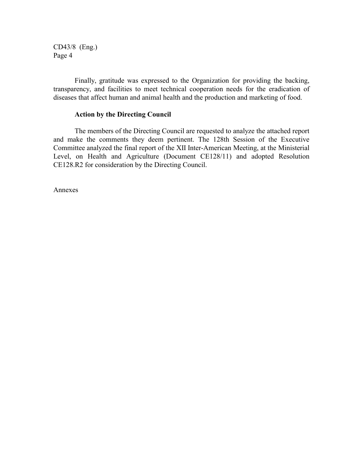CD43/8 (Eng.) Page 4

Finally, gratitude was expressed to the Organization for providing the backing, transparency, and facilities to meet technical cooperation needs for the eradication of diseases that affect human and animal health and the production and marketing of food.

#### **Action by the Directing Council**

The members of the Directing Council are requested to analyze the attached report and make the comments they deem pertinent. The 128th Session of the Executive Committee analyzed the final report of the XII Inter-American Meeting, at the Ministerial Level, on Health and Agriculture (Document CE128/11) and adopted Resolution CE128.R2 for consideration by the Directing Council.

Annexes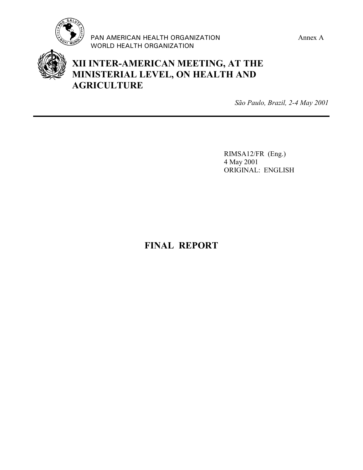

PAN AMERICAN HEALTH ORGANIZATION Annex A WORLD HEALTH ORGANIZATION



# **XII INTER-AMERICAN MEETING, AT THE MINISTERIAL LEVEL, ON HEALTH AND AGRICULTURE**

*São Paulo, Brazil, 2-4 May 2001*

RIMSA12/FR (Eng.) 4 May 2001 ORIGINAL: ENGLISH

# **FINAL REPORT**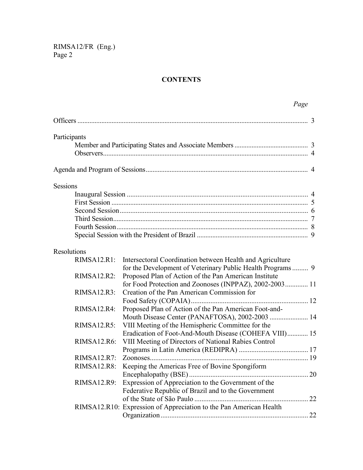# **CONTENTS**

|                    | Page                                                                                                             |   |
|--------------------|------------------------------------------------------------------------------------------------------------------|---|
|                    |                                                                                                                  | 3 |
| Participants       |                                                                                                                  |   |
|                    |                                                                                                                  |   |
|                    |                                                                                                                  |   |
|                    |                                                                                                                  |   |
| <b>Sessions</b>    |                                                                                                                  |   |
|                    |                                                                                                                  |   |
|                    |                                                                                                                  |   |
|                    |                                                                                                                  |   |
|                    |                                                                                                                  |   |
|                    |                                                                                                                  |   |
|                    |                                                                                                                  |   |
| <b>Resolutions</b> |                                                                                                                  |   |
| RIMSA12.R1:        | Intersectoral Coordination between Health and Agriculture                                                        |   |
| RIMSA12.R2:        | Proposed Plan of Action of the Pan American Institute<br>for Food Protection and Zoonoses (INPPAZ), 2002-2003 11 |   |
| RIMSA12.R3:        | Creation of the Pan American Commission for                                                                      |   |
|                    |                                                                                                                  |   |
| RIMSA12.R4:        | Proposed Plan of Action of the Pan American Foot-and-                                                            |   |
|                    | Mouth Disease Center (PANAFTOSA), 2002-2003  14                                                                  |   |
| RIMSA12.R5:        | VIII Meeting of the Hemispheric Committee for the                                                                |   |
|                    | Eradication of Foot-And-Mouth Disease (COHEFA VIII) 15                                                           |   |
| RIMSA12.R6:        | VIII Meeting of Directors of National Rabies Control                                                             |   |
|                    |                                                                                                                  |   |
| RIMSA12.R7:        |                                                                                                                  |   |
| <b>RIMSA12.R8:</b> | Keeping the Americas Free of Bovine Spongiform                                                                   |   |
|                    |                                                                                                                  |   |
| RIMSA12.R9:        | Expression of Appreciation to the Government of the                                                              |   |
|                    | Federative Republic of Brazil and to the Government                                                              |   |
|                    |                                                                                                                  |   |
|                    | RIMSA12.R10: Expression of Appreciation to the Pan American Health                                               |   |
|                    |                                                                                                                  |   |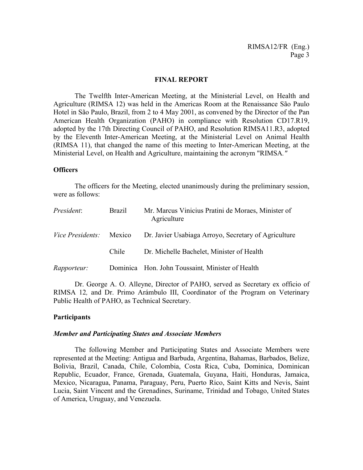#### **FINAL REPORT**

The Twelfth Inter-American Meeting, at the Ministerial Level, on Health and Agriculture (RIMSA 12) was held in the Americas Room at the Renaissance São Paulo Hotel in São Paulo, Brazil, from 2 to 4 May 2001, as convened by the Director of the Pan American Health Organization (PAHO) in compliance with Resolution CD17.R19, adopted by the 17th Directing Council of PAHO, and Resolution RIMSA11.R3, adopted by the Eleventh Inter-American Meeting, at the Ministerial Level on Animal Health (RIMSA 11), that changed the name of this meeting to Inter-American Meeting, at the Ministerial Level, on Health and Agriculture, maintaining the acronym "RIMSA*."*

#### **Officers**

The officers for the Meeting, elected unanimously during the preliminary session, were as follows:

| President:              | <b>Brazil</b> | Mr. Marcus Vinicius Pratini de Moraes, Minister of<br>Agriculture |
|-------------------------|---------------|-------------------------------------------------------------------|
| <i>Vice Presidents:</i> | Mexico        | Dr. Javier Usabiaga Arroyo, Secretary of Agriculture              |
|                         | Chile         | Dr. Michelle Bachelet, Minister of Health                         |
| <i>Rapporteur:</i>      |               | Dominica Hon. John Toussaint, Minister of Health                  |

Dr. George A. O. Alleyne, Director of PAHO, served as Secretary ex officio of RIMSA 12*,* and Dr. Primo Arámbulo III, Coordinator of the Program on Veterinary Public Health of PAHO, as Technical Secretary.

#### **Participants**

#### *Member and Participating States and Associate Members*

The following Member and Participating States and Associate Members were represented at the Meeting: Antigua and Barbuda, Argentina, Bahamas, Barbados, Belize, Bolivia, Brazil, Canada, Chile, Colombia, Costa Rica, Cuba, Dominica, Dominican Republic, Ecuador, France, Grenada, Guatemala, Guyana, Haiti, Honduras, Jamaica, Mexico, Nicaragua, Panama, Paraguay, Peru, Puerto Rico, Saint Kitts and Nevis, Saint Lucia, Saint Vincent and the Grenadines, Suriname, Trinidad and Tobago, United States of America, Uruguay, and Venezuela.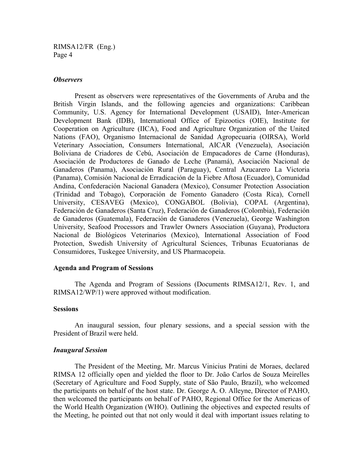#### *Observers*

Present as observers were representatives of the Governments of Aruba and the British Virgin Islands, and the following agencies and organizations: Caribbean Community, U.S. Agency for International Development (USAID), Inter-American Development Bank (IDB), International Office of Epizootics (OIE), Institute for Cooperation on Agriculture (IICA), Food and Agriculture Organization of the United Nations (FAO), Organismo Internacional de Sanidad Agropecuaria (OIRSA), World Veterinary Association, Consumers International, AICAR (Venezuela), Asociación Boliviana de Criadores de Cebú, Asociación de Empacadores de Carne (Honduras), Asociación de Productores de Ganado de Leche (Panamá), Asociación Nacional de Ganaderos (Panama), Asociación Rural (Paraguay), Central Azucarero La Victoria (Panama), Comisión Nacional de Erradicación de la Fiebre Aftosa (Ecuador), Comunidad Andina, Confederación Nacional Ganadera (Mexico), Consumer Protection Association (Trinidad and Tobago), Corporación de Fomento Ganadero (Costa Rica), Cornell University, CESAVEG (Mexico), CONGABOL (Bolivia), COPAL (Argentina), Federación de Ganaderos (Santa Cruz), Federación de Ganaderos (Colombia), Federación de Ganaderos (Guatemala), Federación de Ganaderos (Venezuela), George Washington University, Seafood Processors and Trawler Owners Association (Guyana), Productora Nacional de Biológicos Veterinarios (Mexico), International Association of Food Protection, Swedish University of Agricultural Sciences, Tribunas Ecuatorianas de Consumidores, Tuskegee University, and US Pharmacopeia.

#### **Agenda and Program of Sessions**

The Agenda and Program of Sessions (Documents RIMSA12/1, Rev. 1, and RIMSA12/WP/1) were approved without modification.

#### **Sessions**

An inaugural session, four plenary sessions, and a special session with the President of Brazil were held.

#### *Inaugural Session*

The President of the Meeting, Mr. Marcus Vinicius Pratini de Moraes, declared RIMSA 12 officially open and yielded the floor to Dr. João Carlos de Souza Meirelles (Secretary of Agriculture and Food Supply, state of São Paulo, Brazil), who welcomed the participants on behalf of the host state. Dr. George A. O. Alleyne, Director of PAHO, then welcomed the participants on behalf of PAHO, Regional Office for the Americas of the World Health Organization (WHO). Outlining the objectives and expected results of the Meeting, he pointed out that not only would it deal with important issues relating to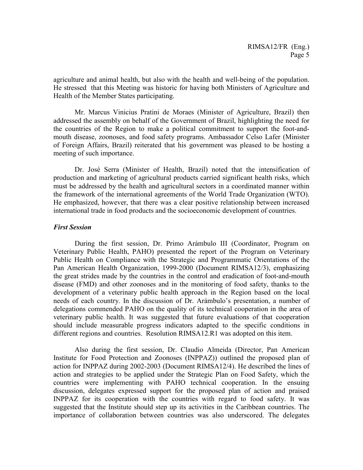agriculture and animal health, but also with the health and well-being of the population. He stressed that this Meeting was historic for having both Ministers of Agriculture and Health of the Member States participating.

Mr. Marcus Vinicius Pratini de Moraes (Minister of Agriculture, Brazil) then addressed the assembly on behalf of the Government of Brazil, highlighting the need for the countries of the Region to make a political commitment to support the foot-andmouth disease, zoonoses, and food safety programs. Ambassador Celso Lafer (Minister of Foreign Affairs, Brazil) reiterated that his government was pleased to be hosting a meeting of such importance.

Dr. José Serra (Minister of Health, Brazil) noted that the intensification of production and marketing of agricultural products carried significant health risks, which must be addressed by the health and agricultural sectors in a coordinated manner within the framework of the international agreements of the World Trade Organization (WTO). He emphasized, however, that there was a clear positive relationship between increased international trade in food products and the socioeconomic development of countries.

#### *First Session*

During the first session, Dr. Primo Arámbulo III (Coordinator, Program on Veterinary Public Health, PAHO) presented the report of the Program on Veterinary Public Health on Compliance with the Strategic and Programmatic Orientations of the Pan American Health Organization, 1999-2000 (Document RIMSA12/3), emphasizing the great strides made by the countries in the control and eradication of foot-and-mouth disease (FMD) and other zoonoses and in the monitoring of food safety, thanks to the development of a veterinary public health approach in the Region based on the local needs of each country. In the discussion of Dr. Arámbulo's presentation, a number of delegations commended PAHO on the quality of its technical cooperation in the area of veterinary public health. It was suggested that future evaluations of that cooperation should include measurable progress indicators adapted to the specific conditions in different regions and countries. Resolution RIMSA12.R1 was adopted on this item.

Also during the first session, Dr. Claudio Almeida (Director, Pan American Institute for Food Protection and Zoonoses (INPPAZ)) outlined the proposed plan of action for INPPAZ during 2002-2003 (Document RIMSA12/4). He described the lines of action and strategies to be applied under the Strategic Plan on Food Safety, which the countries were implementing with PAHO technical cooperation. In the ensuing discussion, delegates expressed support for the proposed plan of action and praised INPPAZ for its cooperation with the countries with regard to food safety. It was suggested that the Institute should step up its activities in the Caribbean countries. The importance of collaboration between countries was also underscored. The delegates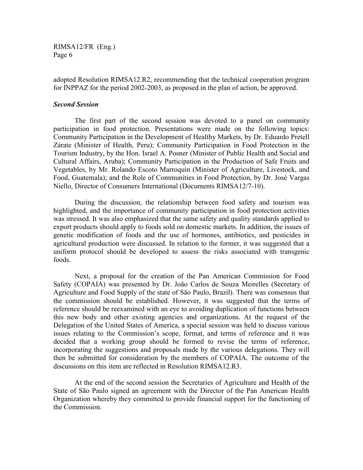adopted Resolution RIMSA12.R2, recommending that the technical cooperation program for INPPAZ for the period 2002-2003, as proposed in the plan of action, be approved.

#### *Second Session*

The first part of the second session was devoted to a panel on community participation in food protection. Presentations were made on the following topics: Community Participation in the Development of Healthy Markets, by Dr. Eduardo Pretell Zárate (Minister of Health, Peru); Community Participation in Food Protection in the Tourism Industry, by the Hon. Israel A. Posner (Minister of Public Health and Social and Cultural Affairs, Aruba); Community Participation in the Production of Safe Fruits and Vegetables, by Mr. Rolando Escoto Marroquín (Minister of Agriculture, Livestock, and Food, Guatemala); and the Role of Communities in Food Protection, by Dr. José Vargas Niello, Director of Consumers International (Documents RIMSA12/7-10).

During the discussion, the relationship between food safety and tourism was highlighted, and the importance of community participation in food protection activities was stressed. It was also emphasized that the same safety and quality standards applied to export products should apply to foods sold on domestic markets. In addition, the issues of genetic modification of foods and the use of hormones, antibiotics, and pesticides in agricultural production were discussed. In relation to the former, it was suggested that a uniform protocol should be developed to assess the risks associated with transgenic foods.

Next, a proposal for the creation of the Pan American Commission for Food Safety (COPAIA) was presented by Dr. João Carlos de Souza Meirelles (Secretary of Agriculture and Food Supply of the state of São Paulo, Brazil). There was consensus that the commission should be established. However, it was suggested that the terms of reference should be reexamined with an eye to avoiding duplication of functions between this new body and other existing agencies and organizations. At the request of the Delegation of the United States of America, a special session was held to discuss various issues relating to the Commission's scope, format, and terms of reference and it was decided that a working group should be formed to revise the terms of reference, incorporating the suggestions and proposals made by the various delegations. They will then be submitted for consideration by the members of COPAIA. The outcome of the discussions on this item are reflected in Resolution RIMSA12.R3.

At the end of the second session the Secretaries of Agriculture and Health of the State of São Paulo signed an agreement with the Director of the Pan American Health Organization whereby they committed to provide financial support for the functioning of the Commission.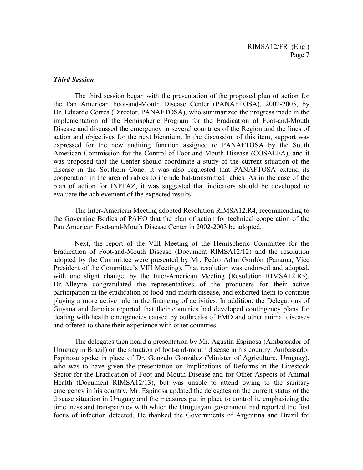#### *Third Session*

The third session began with the presentation of the proposed plan of action for the Pan American Foot-and-Mouth Disease Center (PANAFTOSA), 2002-2003, by Dr. Eduardo Correa (Director, PANAFTOSA), who summarized the progress made in the implementation of the Hemispheric Program for the Eradication of Foot-and-Mouth Disease and discussed the emergency in several countries of the Region and the lines of action and objectives for the next biennium. In the discussion of this item, support was expressed for the new auditing function assigned to PANAFTOSA by the South American Commission for the Control of Foot-and-Mouth Disease (COSALFA), and it was proposed that the Center should coordinate a study of the current situation of the disease in the Southern Cone. It was also requested that PANAFTOSA extend its cooperation in the area of rabies to include bat-transmitted rabies. As in the case of the plan of action for INPPAZ, it was suggested that indicators should be developed to evaluate the achievement of the expected results.

The Inter-American Meeting adopted Resolution RIMSA12.R4, recommending to the Governing Bodies of PAHO that the plan of action for technical cooperation of the Pan American Foot-and-Mouth Disease Center in 2002-2003 be adopted.

Next, the report of the VIII Meeting of the Hemispheric Committee for the Eradication of Foot-and-Mouth Disease (Document RIMSA12/12) and the resolution adopted by the Committee were presented by Mr. Pedro Adán Gordón (Panama, Vice President of the Committee's VIII Meeting). That resolution was endorsed and adopted, with one slight change, by the Inter-American Meeting (Resolution RIMSA12.R5). Dr. Alleyne congratulated the representatives of the producers for their active participation in the eradication of food-and-mouth disease, and exhorted them to continue playing a more active role in the financing of activities*.* In addition, the Delegations of Guyana and Jamaica reported that their countries had developed contingency plans for dealing with health emergencies caused by outbreaks of FMD and other animal diseases and offered to share their experience with other countries.

The delegates then heard a presentation by Mr. Agustín Espinosa (Ambassador of Uruguay in Brazil) on the situation of foot-and-mouth disease in his country. Ambassador Espinosa spoke in place of Dr. Gonzalo González (Minister of Agriculture, Uruguay), who was to have given the presentation on Implications of Reforms in the Livestock Sector for the Eradication of Foot-and-Mouth Disease and for Other Aspects of Animal Health (Document RIMSA12/13), but was unable to attend owing to the sanitary emergency in his country. Mr. Espinosa updated the delegates on the current status of the disease situation in Uruguay and the measures put in place to control it, emphasizing the timeliness and transparency with which the Uruguayan government had reported the first focus of infection detected. He thanked the Governments of Argentina and Brazil for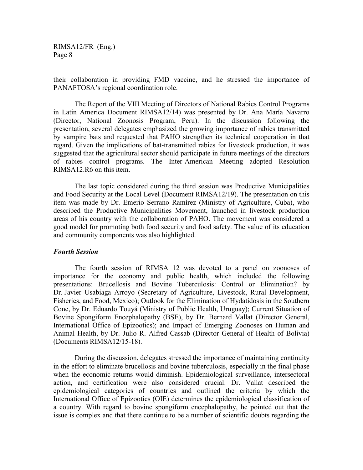their collaboration in providing FMD vaccine, and he stressed the importance of PANAFTOSA's regional coordination role.

The Report of the VIII Meeting of Directors of National Rabies Control Programs in Latin America Document RIMSA12/14) was presented by Dr. Ana María Navarro (Director, National Zoonosis Program, Peru). In the discussion following the presentation, several delegates emphasized the growing importance of rabies transmitted by vampire bats and requested that PAHO strengthen its technical cooperation in that regard. Given the implications of bat-transmitted rabies for livestock production, it was suggested that the agricultural sector should participate in future meetings of the directors of rabies control programs. The Inter-American Meeting adopted Resolution RIMSA12.R6 on this item.

The last topic considered during the third session was Productive Municipalities and Food Security at the Local Level (Document RIMSA12/19). The presentation on this item was made by Dr. Emerio Serrano Ramírez (Ministry of Agriculture, Cuba), who described the Productive Municipalities Movement, launched in livestock production areas of his country with the collaboration of PAHO. The movement was considered a good model for promoting both food security and food safety. The value of its education and community components was also highlighted.

#### *Fourth Session*

The fourth session of RIMSA 12 was devoted to a panel on zoonoses of importance for the economy and public health, which included the following presentations: Brucellosis and Bovine Tuberculosis: Control or Elimination? by Dr. Javier Usabiaga Arroyo (Secretary of Agriculture, Livestock, Rural Development, Fisheries, and Food, Mexico); Outlook for the Elimination of Hydatidosis in the Southern Cone, by Dr. Eduardo Touyá (Ministry of Public Health, Uruguay); Current Situation of Bovine Spongiform Encephalopathy (BSE), by Dr. Bernard Vallat (Director General, International Office of Epizootics); and Impact of Emerging Zoonoses on Human and Animal Health, by Dr. Julio R. Alfred Cassab (Director General of Health of Bolivia) (Documents RIMSA12/15-18).

During the discussion, delegates stressed the importance of maintaining continuity in the effort to eliminate brucellosis and bovine tuberculosis, especially in the final phase when the economic returns would diminish. Epidemiological surveillance, intersectoral action, and certification were also considered crucial. Dr. Vallat described the epidemiological categories of countries and outlined the criteria by which the International Office of Epizootics (OIE) determines the epidemiological classification of a country. With regard to bovine spongiform encephalopathy, he pointed out that the issue is complex and that there continue to be a number of scientific doubts regarding the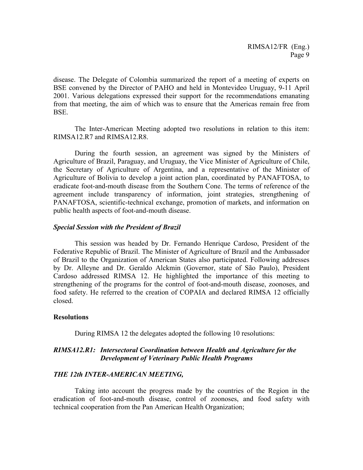disease. The Delegate of Colombia summarized the report of a meeting of experts on BSE convened by the Director of PAHO and held in Montevideo Uruguay, 9-11 April 2001. Various delegations expressed their support for the recommendations emanating from that meeting, the aim of which was to ensure that the Americas remain free from BSE.

The Inter-American Meeting adopted two resolutions in relation to this item: RIMSA12.R7 and RIMSA12.R8.

During the fourth session, an agreement was signed by the Ministers of Agriculture of Brazil, Paraguay, and Uruguay, the Vice Minister of Agriculture of Chile, the Secretary of Agriculture of Argentina, and a representative of the Minister of Agriculture of Bolivia to develop a joint action plan, coordinated by PANAFTOSA, to eradicate foot-and-mouth disease from the Southern Cone. The terms of reference of the agreement include transparency of information, joint strategies, strengthening of PANAFTOSA, scientific-technical exchange, promotion of markets, and information on public health aspects of foot-and-mouth disease.

#### *Special Session with the President of Brazil*

This session was headed by Dr. Fernando Henrique Cardoso, President of the Federative Republic of Brazil. The Minister of Agriculture of Brazil and the Ambassador of Brazil to the Organization of American States also participated. Following addresses by Dr. Alleyne and Dr. Geraldo Alckmin (Governor, state of São Paulo), President Cardoso addressed RIMSA 12. He highlighted the importance of this meeting to strengthening of the programs for the control of foot-and-mouth disease, zoonoses, and food safety. He referred to the creation of COPAIA and declared RIMSA 12 officially closed.

#### **Resolutions**

During RIMSA 12 the delegates adopted the following 10 resolutions:

### *RIMSA12.R1: Intersectoral Coordination between Health and Agriculture for the Development of Veterinary Public Health Programs*

#### *THE 12th INTER-AMERICAN MEETING,*

Taking into account the progress made by the countries of the Region in the eradication of foot-and-mouth disease, control of zoonoses, and food safety with technical cooperation from the Pan American Health Organization;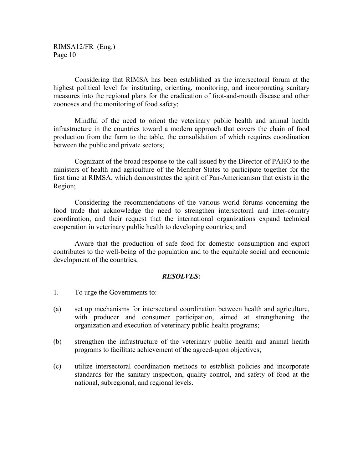Considering that RIMSA has been established as the intersectoral forum at the highest political level for instituting, orienting, monitoring, and incorporating sanitary measures into the regional plans for the eradication of foot-and-mouth disease and other zoonoses and the monitoring of food safety;

Mindful of the need to orient the veterinary public health and animal health infrastructure in the countries toward a modern approach that covers the chain of food production from the farm to the table, the consolidation of which requires coordination between the public and private sectors;

Cognizant of the broad response to the call issued by the Director of PAHO to the ministers of health and agriculture of the Member States to participate together for the first time at RIMSA, which demonstrates the spirit of Pan-Americanism that exists in the Region;

Considering the recommendations of the various world forums concerning the food trade that acknowledge the need to strengthen intersectoral and inter-country coordination, and their request that the international organizations expand technical cooperation in veterinary public health to developing countries; and

Aware that the production of safe food for domestic consumption and export contributes to the well-being of the population and to the equitable social and economic development of the countries,

#### *RESOLVES:*

- 1. To urge the Governments to:
- (a) set up mechanisms for intersectoral coordination between health and agriculture, with producer and consumer participation, aimed at strengthening the organization and execution of veterinary public health programs;
- (b) strengthen the infrastructure of the veterinary public health and animal health programs to facilitate achievement of the agreed-upon objectives;
- (c) utilize intersectoral coordination methods to establish policies and incorporate standards for the sanitary inspection, quality control, and safety of food at the national, subregional, and regional levels.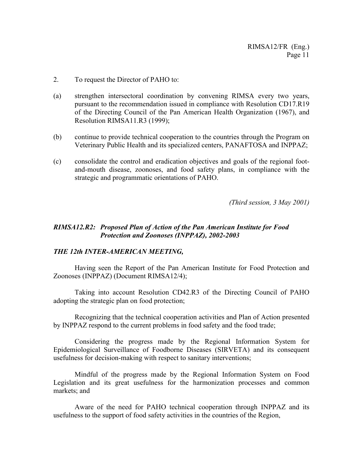- 2. To request the Director of PAHO to:
- (a) strengthen intersectoral coordination by convening RIMSA every two years, pursuant to the recommendation issued in compliance with Resolution CD17.R19 of the Directing Council of the Pan American Health Organization (1967), and Resolution RIMSA11.R3 (1999);
- (b) continue to provide technical cooperation to the countries through the Program on Veterinary Public Health and its specialized centers, PANAFTOSA and INPPAZ;
- (c) consolidate the control and eradication objectives and goals of the regional footand-mouth disease, zoonoses, and food safety plans, in compliance with the strategic and programmatic orientations of PAHO.

*(Third session, 3 May 2001)*

# *RIMSA12.R2: Proposed Plan of Action of the Pan American Institute for Food Protection and Zoonoses (INPPAZ), 2002-2003*

### *THE 12th INTER-AMERICAN MEETING,*

Having seen the Report of the Pan American Institute for Food Protection and Zoonoses (INPPAZ) (Document RIMSA12/4);

Taking into account Resolution CD42.R3 of the Directing Council of PAHO adopting the strategic plan on food protection;

Recognizing that the technical cooperation activities and Plan of Action presented by INPPAZ respond to the current problems in food safety and the food trade;

Considering the progress made by the Regional Information System for Epidemiological Surveillance of Foodborne Diseases (SIRVETA) and its consequent usefulness for decision-making with respect to sanitary interventions;

Mindful of the progress made by the Regional Information System on Food Legislation and its great usefulness for the harmonization processes and common markets; and

Aware of the need for PAHO technical cooperation through INPPAZ and its usefulness to the support of food safety activities in the countries of the Region,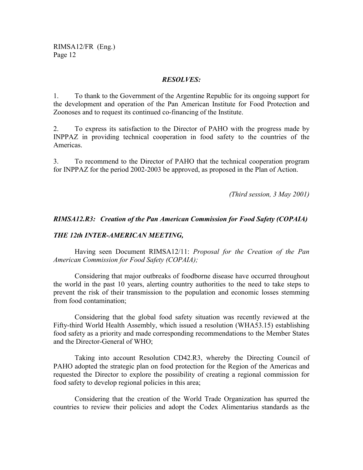#### *RESOLVES:*

1. To thank to the Government of the Argentine Republic for its ongoing support for the development and operation of the Pan American Institute for Food Protection and Zoonoses and to request its continued co-financing of the Institute.

2. To express its satisfaction to the Director of PAHO with the progress made by INPPAZ in providing technical cooperation in food safety to the countries of the Americas.

3. To recommend to the Director of PAHO that the technical cooperation program for INPPAZ for the period 2002-2003 be approved, as proposed in the Plan of Action.

*(Third session, 3 May 2001)*

## *RIMSA12.R3: Creation of the Pan American Commission for Food Safety (COPAIA)*

### *THE 12th INTER-AMERICAN MEETING,*

Having seen Document RIMSA12/11: *Proposal for the Creation of the Pan American Commission for Food Safety (COPAIA);*

Considering that major outbreaks of foodborne disease have occurred throughout the world in the past 10 years, alerting country authorities to the need to take steps to prevent the risk of their transmission to the population and economic losses stemming from food contamination;

Considering that the global food safety situation was recently reviewed at the Fifty-third World Health Assembly, which issued a resolution (WHA53.15) establishing food safety as a priority and made corresponding recommendations to the Member States and the Director-General of WHO;

Taking into account Resolution CD42.R3, whereby the Directing Council of PAHO adopted the strategic plan on food protection for the Region of the Americas and requested the Director to explore the possibility of creating a regional commission for food safety to develop regional policies in this area;

Considering that the creation of the World Trade Organization has spurred the countries to review their policies and adopt the Codex Alimentarius standards as the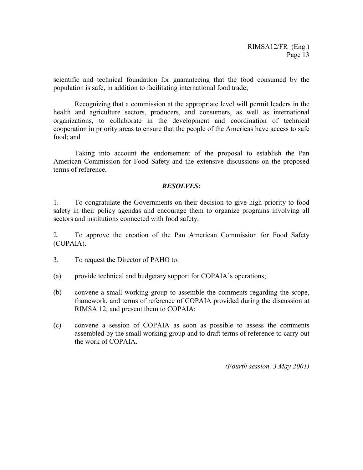scientific and technical foundation for guaranteeing that the food consumed by the population is safe, in addition to facilitating international food trade;

Recognizing that a commission at the appropriate level will permit leaders in the health and agriculture sectors, producers, and consumers, as well as international organizations, to collaborate in the development and coordination of technical cooperation in priority areas to ensure that the people of the Americas have access to safe food; and

Taking into account the endorsement of the proposal to establish the Pan American Commission for Food Safety and the extensive discussions on the proposed terms of reference,

# *RESOLVES:*

1. To congratulate the Governments on their decision to give high priority to food safety in their policy agendas and encourage them to organize programs involving all sectors and institutions connected with food safety.

2. To approve the creation of the Pan American Commission for Food Safety (COPAIA).

- 3. To request the Director of PAHO to:
- (a) provide technical and budgetary support for COPAIA's operations;
- (b) convene a small working group to assemble the comments regarding the scope, framework, and terms of reference of COPAIA provided during the discussion at RIMSA 12, and present them to COPAIA;
- (c) convene a session of COPAIA as soon as possible to assess the comments assembled by the small working group and to draft terms of reference to carry out the work of COPAIA.

*(Fourth session, 3 May 2001)*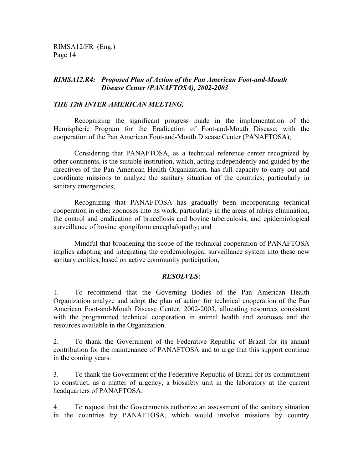# *RIMSA12.R4: Proposed Plan of Action of the Pan American Foot-and-Mouth Disease Center (PANAFTOSA), 2002-2003*

# *THE 12th INTER-AMERICAN MEETING,*

Recognizing the significant progress made in the implementation of the Hemispheric Program for the Eradication of Foot-and-Mouth Disease, with the cooperation of the Pan American Foot-and-Mouth Disease Center (PANAFTOSA);

Considering that PANAFTOSA, as a technical reference center recognized by other continents, is the suitable institution, which, acting independently and guided by the directives of the Pan American Health Organization, has full capacity to carry out and coordinate missions to analyze the sanitary situation of the countries, particularly in sanitary emergencies;

Recognizing that PANAFTOSA has gradually been incorporating technical cooperation in other zoonoses into its work, particularly in the areas of rabies elimination, the control and eradication of brucellosis and bovine tuberculosis, and epidemiological surveillance of bovine spongiform encephalopathy; and

Mindful that broadening the scope of the technical cooperation of PANAFTOSA implies adapting and integrating the epidemiological surveillance system into these new sanitary entities, based on active community participation,

### *RESOLVES:*

1. To recommend that the Governing Bodies of the Pan American Health Organization analyze and adopt the plan of action for technical cooperation of the Pan American Foot-and-Mouth Disease Center, 2002-2003, allocating resources consistent with the programmed technical cooperation in animal health and zoonoses and the resources available in the Organization.

2. To thank the Government of the Federative Republic of Brazil for its annual contribution for the maintenance of PANAFTOSA and to urge that this support continue in the coming years.

3. To thank the Government of the Federative Republic of Brazil for its commitment to construct, as a matter of urgency, a biosafety unit in the laboratory at the current headquarters of PANAFTOSA.

4. To request that the Governments authorize an assessment of the sanitary situation in the countries by PANAFTOSA, which would involve missions by country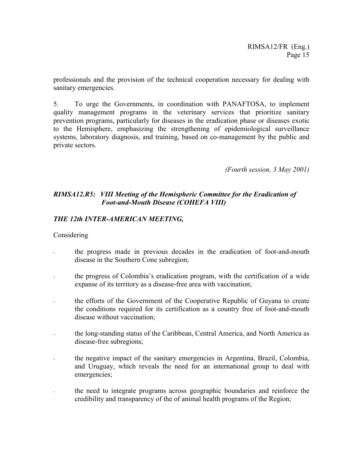professionals and the provision of the technical cooperation necessary for dealing with sanitary emergencies.

5. To urge the Governments, in coordination with PANAFTOSA, to implement quality management programs in the veterinary services that prioritize sanitary prevention programs, particularly for diseases in the eradication phase or diseases exotic to the Hemisphere, emphasizing the strengthening of epidemiological surveillance systems, laboratory diagnosis, and training, based on co-management by the public and private sectors.

*(Fourth session, 3 May 2001)*

# *RIMSA12.R5: VIII Meeting of the Hemispheric Committee for the Eradication of Foot-and-Mouth Disease (COHEFA VIII)*

# *THE 12th INTER-AMERICAN MEETING,*

### **Considering**

- the progress made in previous decades in the eradication of foot-and-mouth disease in the Southern Cone subregion;
- the progress of Colombia's eradication program, with the certification of a wide expanse of its territory as a disease-free area with vaccination;
- the efforts of the Government of the Cooperative Republic of Guyana to create the conditions required for its certification as a country free of foot-and-mouth disease without vaccination;
- the long-standing status of the Caribbean, Central America, and North America as disease-free subregions;
- the negative impact of the sanitary emergencies in Argentina, Brazil, Colombia, and Uruguay, which reveals the need for an international group to deal with emergencies;
- the need to integrate programs across geographic boundaries and reinforce the credibility and transparency of the of animal health programs of the Region;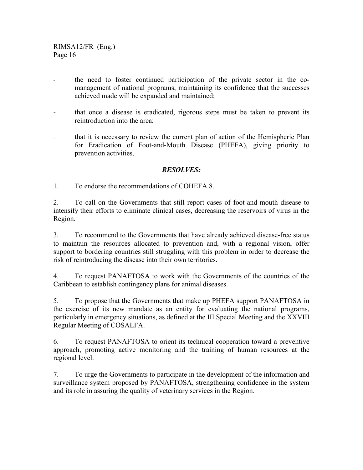- the need to foster continued participation of the private sector in the comanagement of national programs, maintaining its confidence that the successes achieved made will be expanded and maintained;
- that once a disease is eradicated, rigorous steps must be taken to prevent its reintroduction into the area;
- that it is necessary to review the current plan of action of the Hemispheric Plan for Eradication of Foot-and-Mouth Disease (PHEFA), giving priority to prevention activities,

# *RESOLVES:*

1. To endorse the recommendations of COHEFA 8.

2. To call on the Governments that still report cases of foot-and-mouth disease to intensify their efforts to eliminate clinical cases, decreasing the reservoirs of virus in the Region.

3. To recommend to the Governments that have already achieved disease-free status to maintain the resources allocated to prevention and, with a regional vision, offer support to bordering countries still struggling with this problem in order to decrease the risk of reintroducing the disease into their own territories.

4. To request PANAFTOSA to work with the Governments of the countries of the Caribbean to establish contingency plans for animal diseases.

5. To propose that the Governments that make up PHEFA support PANAFTOSA in the exercise of its new mandate as an entity for evaluating the national programs, particularly in emergency situations, as defined at the III Special Meeting and the XXVIII Regular Meeting of COSALFA.

6. To request PANAFTOSA to orient its technical cooperation toward a preventive approach, promoting active monitoring and the training of human resources at the regional level.

7. To urge the Governments to participate in the development of the information and surveillance system proposed by PANAFTOSA, strengthening confidence in the system and its role in assuring the quality of veterinary services in the Region.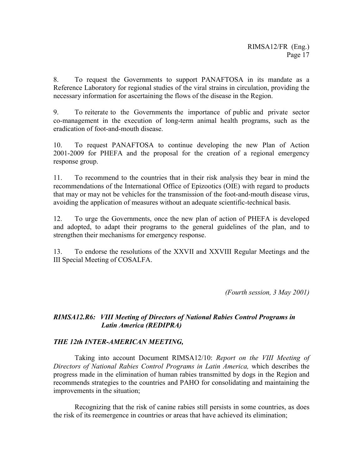8. To request the Governments to support PANAFTOSA in its mandate as a Reference Laboratory for regional studies of the viral strains in circulation, providing the necessary information for ascertaining the flows of the disease in the Region.

9. To reiterate to the Governments the importance of public and private sector co-management in the execution of long-term animal health programs, such as the eradication of foot-and-mouth disease.

10. To request PANAFTOSA to continue developing the new Plan of Action 2001-2009 for PHEFA and the proposal for the creation of a regional emergency response group.

11. To recommend to the countries that in their risk analysis they bear in mind the recommendations of the International Office of Epizootics (OIE) with regard to products that may or may not be vehicles for the transmission of the foot-and-mouth disease virus, avoiding the application of measures without an adequate scientific-technical basis.

12. To urge the Governments, once the new plan of action of PHEFA is developed and adopted, to adapt their programs to the general guidelines of the plan, and to strengthen their mechanisms for emergency response.

13. To endorse the resolutions of the XXVII and XXVIII Regular Meetings and the III Special Meeting of COSALFA.

*(Fourth session, 3 May 2001)*

# *RIMSA12.R6: VIII Meeting of Directors of National Rabies Control Programs in Latin America (REDIPRA)*

# *THE 12th INTER-AMERICAN MEETING,*

Taking into account Document RIMSA12/10: *Report on the VIII Meeting of Directors of National Rabies Control Programs in Latin America,* which describes the progress made in the elimination of human rabies transmitted by dogs in the Region and recommends strategies to the countries and PAHO for consolidating and maintaining the improvements in the situation;

Recognizing that the risk of canine rabies still persists in some countries, as does the risk of its reemergence in countries or areas that have achieved its elimination;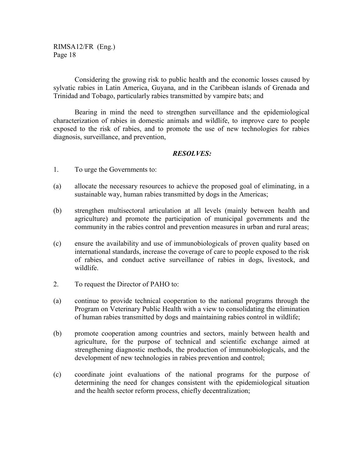Considering the growing risk to public health and the economic losses caused by sylvatic rabies in Latin America, Guyana, and in the Caribbean islands of Grenada and Trinidad and Tobago, particularly rabies transmitted by vampire bats; and

Bearing in mind the need to strengthen surveillance and the epidemiological characterization of rabies in domestic animals and wildlife, to improve care to people exposed to the risk of rabies, and to promote the use of new technologies for rabies diagnosis, surveillance, and prevention,

## *RESOLVES:*

- 1. To urge the Governments to:
- (a) allocate the necessary resources to achieve the proposed goal of eliminating, in a sustainable way, human rabies transmitted by dogs in the Americas;
- (b) strengthen multisectoral articulation at all levels (mainly between health and agriculture) and promote the participation of municipal governments and the community in the rabies control and prevention measures in urban and rural areas;
- (c) ensure the availability and use of immunobiologicals of proven quality based on international standards, increase the coverage of care to people exposed to the risk of rabies, and conduct active surveillance of rabies in dogs, livestock, and wildlife.
- 2. To request the Director of PAHO to:
- (a) continue to provide technical cooperation to the national programs through the Program on Veterinary Public Health with a view to consolidating the elimination of human rabies transmitted by dogs and maintaining rabies control in wildlife;
- (b) promote cooperation among countries and sectors, mainly between health and agriculture, for the purpose of technical and scientific exchange aimed at strengthening diagnostic methods, the production of immunobiologicals, and the development of new technologies in rabies prevention and control;
- (c) coordinate joint evaluations of the national programs for the purpose of determining the need for changes consistent with the epidemiological situation and the health sector reform process, chiefly decentralization;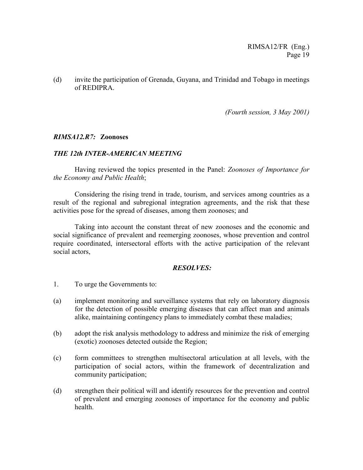(d) invite the participation of Grenada, Guyana, and Trinidad and Tobago in meetings of REDIPRA.

*(Fourth session, 3 May 2001)*

### *RIMSA12.R7:* **Zoonoses**

### *THE 12th INTER-AMERICAN MEETING*

Having reviewed the topics presented in the Panel: *Zoonoses of Importance for the Economy and Public Health*;

Considering the rising trend in trade, tourism, and services among countries as a result of the regional and subregional integration agreements, and the risk that these activities pose for the spread of diseases, among them zoonoses; and

Taking into account the constant threat of new zoonoses and the economic and social significance of prevalent and reemerging zoonoses, whose prevention and control require coordinated, intersectoral efforts with the active participation of the relevant social actors,

### *RESOLVES:*

- 1. To urge the Governments to:
- (a) implement monitoring and surveillance systems that rely on laboratory diagnosis for the detection of possible emerging diseases that can affect man and animals alike, maintaining contingency plans to immediately combat these maladies;
- (b) adopt the risk analysis methodology to address and minimize the risk of emerging (exotic) zoonoses detected outside the Region;
- (c) form committees to strengthen multisectoral articulation at all levels, with the participation of social actors, within the framework of decentralization and community participation;
- (d) strengthen their political will and identify resources for the prevention and control of prevalent and emerging zoonoses of importance for the economy and public health.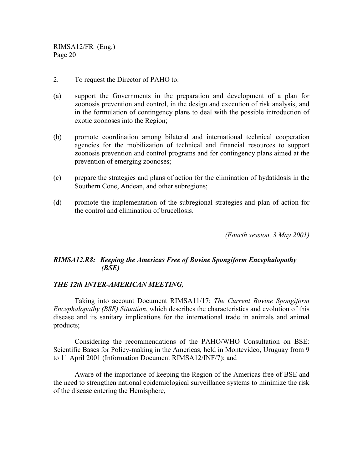- 2. To request the Director of PAHO to:
- (a) support the Governments in the preparation and development of a plan for zoonosis prevention and control, in the design and execution of risk analysis, and in the formulation of contingency plans to deal with the possible introduction of exotic zoonoses into the Region;
- (b) promote coordination among bilateral and international technical cooperation agencies for the mobilization of technical and financial resources to support zoonosis prevention and control programs and for contingency plans aimed at the prevention of emerging zoonoses;
- (c) prepare the strategies and plans of action for the elimination of hydatidosis in the Southern Cone, Andean, and other subregions;
- (d) promote the implementation of the subregional strategies and plan of action for the control and elimination of brucellosis.

*(Fourth session, 3 May 2001)*

# *RIMSA12.R8: Keeping the Americas Free of Bovine Spongiform Encephalopathy (BSE)*

### *THE 12th INTER-AMERICAN MEETING,*

Taking into account Document RIMSA11/17: *The Current Bovine Spongiform Encephalopathy (BSE) Situation*, which describes the characteristics and evolution of this disease and its sanitary implications for the international trade in animals and animal products;

Considering the recommendations of the PAHO/WHO Consultation on BSE: Scientific Bases for Policy-making in the Americas*,* held in Montevideo, Uruguay from 9 to 11 April 2001 (Information Document RIMSA12/INF/7); and

Aware of the importance of keeping the Region of the Americas free of BSE and the need to strengthen national epidemiological surveillance systems to minimize the risk of the disease entering the Hemisphere,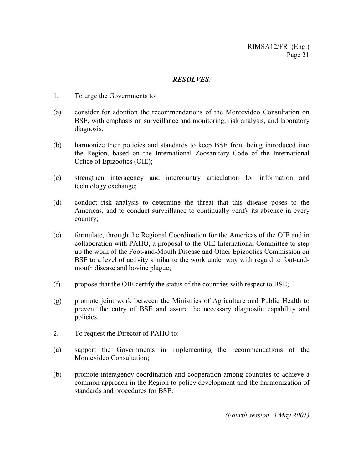### *RESOLVES:*

- 1. To urge the Governments to:
- (a) consider for adoption the recommendations of the Montevideo Consultation on BSE, with emphasis on surveillance and monitoring, risk analysis, and laboratory diagnosis;
- (b) harmonize their policies and standards to keep BSE from being introduced into the Region, based on the International Zoosanitary Code of the International Office of Epizootics (OIE);
- (c) strengthen interagency and intercountry articulation for information and technology exchange;
- (d) conduct risk analysis to determine the threat that this disease poses to the Americas, and to conduct surveillance to continually verify its absence in every country;
- (e) formulate, through the Regional Coordination for the Americas of the OIE and in collaboration with PAHO, a proposal to the OIE International Committee to step up the work of the Foot-and-Mouth Disease and Other Epizootics Commission on BSE to a level of activity similar to the work under way with regard to foot-andmouth disease and bovine plague;
- (f) propose that the OIE certify the status of the countries with respect to BSE;
- (g) promote joint work between the Ministries of Agriculture and Public Health to prevent the entry of BSE and assure the necessary diagnostic capability and policies.
- 2. To request the Director of PAHO to:
- (a) support the Governments in implementing the recommendations of the Montevideo Consultation;
- (b) promote interagency coordination and cooperation among countries to achieve a common approach in the Region to policy development and the harmonization of standards and procedures for BSE.

*(Fourth session, 3 May 2001)*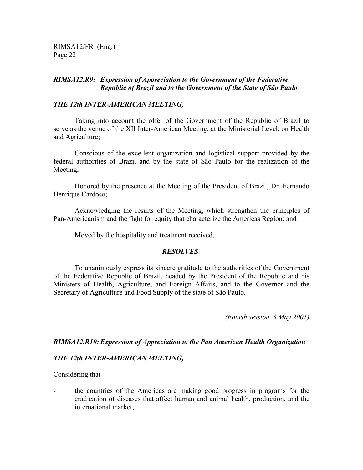# *RIMSA12.R9: Expression of Appreciation to the Government of the Federative Republic of Brazil and to the Government of the State of São Paulo*

## *THE 12th INTER-AMERICAN MEETING,*

Taking into account the offer of the Government of the Republic of Brazil to serve as the venue of the XII Inter-American Meeting, at the Ministerial Level, on Health and Agriculture;

Conscious of the excellent organization and logistical support provided by the federal authorities of Brazil and by the state of São Paulo for the realization of the Meeting;

Honored by the presence at the Meeting of the President of Brazil, Dr. Fernando Henrique Cardoso;

Acknowledging the results of the Meeting, which strengthen the principles of Pan-Americanism and the fight for equity that characterize the Americas Region; and

Moved by the hospitality and treatment received,

### *RESOLVES:*

To unanimously express its sincere gratitude to the authorities of the Government of the Federative Republic of Brazil, headed by the President of the Republic and his Ministers of Health, Agriculture, and Foreign Affairs, and to the Governor and the Secretary of Agriculture and Food Supply of the state of São Paulo.

*(Fourth session, 3 May 2001)*

### *RIMSA12.R10: Expression of Appreciation to the Pan American Health Organization*

### *THE 12th INTER-AMERICAN MEETING,*

Considering that

the countries of the Americas are making good progress in programs for the eradication of diseases that affect human and animal health, production, and the international market;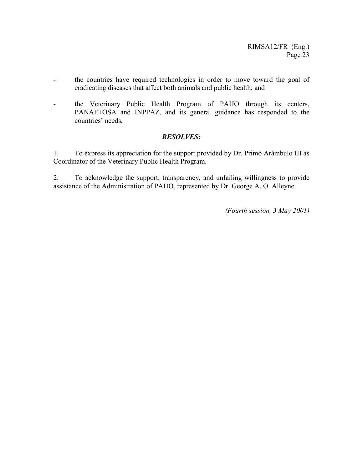- the countries have required technologies in order to move toward the goal of eradicating diseases that affect both animals and public health; and
- the Veterinary Public Health Program of PAHO through its centers, PANAFTOSA and INPPAZ, and its general guidance has responded to the countries' needs,

# *RESOLVES:*

1. To express its appreciation for the support provided by Dr. Primo Arámbulo III as Coordinator of the Veterinary Public Health Program.

2. To acknowledge the support, transparency, and unfailing willingness to provide assistance of the Administration of PAHO, represented by Dr. George A. O. Alleyne.

*(Fourth session, 3 May 2001)*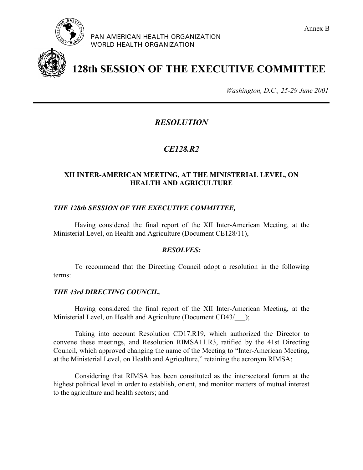

PAN AMERICAN HEALTH ORGANIZATION WORLD HEALTH ORGANIZATION





**128th SESSION OF THE EXECUTIVE COMMITTEE**

*Washington, D.C., 25-29 June 2001*

# *RESOLUTION*

# *CE128.R2*

## **XII INTER-AMERICAN MEETING, AT THE MINISTERIAL LEVEL, ON HEALTH AND AGRICULTURE**

### *THE 128th SESSION OF THE EXECUTIVE COMMITTEE,*

Having considered the final report of the XII Inter-American Meeting, at the Ministerial Level, on Health and Agriculture (Document CE128/11),

#### *RESOLVES:*

To recommend that the Directing Council adopt a resolution in the following terms:

#### *THE 43rd DIRECTING COUNCIL,*

Having considered the final report of the XII Inter-American Meeting, at the Ministerial Level, on Health and Agriculture (Document CD43/ );

Taking into account Resolution CD17.R19, which authorized the Director to convene these meetings, and Resolution RIMSA11.R3, ratified by the 41st Directing Council, which approved changing the name of the Meeting to "Inter-American Meeting, at the Ministerial Level, on Health and Agriculture," retaining the acronym RIMSA;

Considering that RIMSA has been constituted as the intersectoral forum at the highest political level in order to establish, orient, and monitor matters of mutual interest to the agriculture and health sectors; and